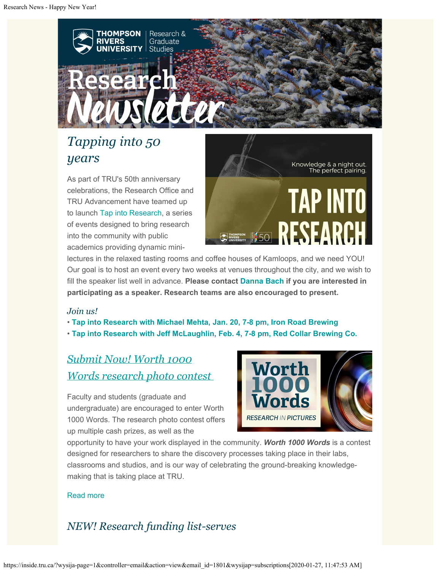

# *Tapping into 50 years*

As part of TRU's 50th anniversary celebrations, the Research Office and TRU Advancement have teamed up to launch [Tap into Research](https://inside.tru.ca/events/event/tap-into-research-solar-energy-with-michael-mehta/), a series of events designed to bring research into the community with public academics providing dynamic mini-



lectures in the relaxed tasting rooms and coffee houses of Kamloops, and we need YOU! Our goal is to host an event every two weeks at venues throughout the city, and we wish to fill the speaker list well in advance. **Please contact [Danna Bach](mailto:dbach@tru.ca) if you are interested in participating as a speaker. Research teams are also encouraged to present.**

#### *Join us!*

• **[Tap into Research with Michael Mehta, Jan. 20, 7-8 pm, Iron Road Brewing](https://inside.tru.ca/events/event/tap-into-research-solar-energy-with-michael-mehta/)**

• **[Tap into Research with Jeff McLaughlin, Feb. 4, 7-8 pm, Red Collar Brewing Co.](https://inside.tru.ca/events/event/tap-into-research-studying-comics-seriously-with-dr-jeff-mclaughlin/)**

# *[Submit Now! Worth 1000](http://inside.tru.ca/2019/10/01/worth-1000-words-research-photo-contest-opens/) [Words research photo contest](http://inside.tru.ca/2019/10/01/worth-1000-words-research-photo-contest-opens/)*

Faculty and students (graduate and undergraduate) are encouraged to enter Worth 1000 Words. The research photo contest offers up multiple cash prizes, as well as the



opportunity to have your work displayed in the community. *Worth 1000 Words* is a contest designed for researchers to share the discovery processes taking place in their labs, classrooms and studios, and is our way of celebrating the ground-breaking knowledgemaking that is taking place at TRU.

### [Read more](http://inside.tru.ca/2019/10/01/worth-1000-words-research-photo-contest-opens/)

# *NEW! Research funding list-serves*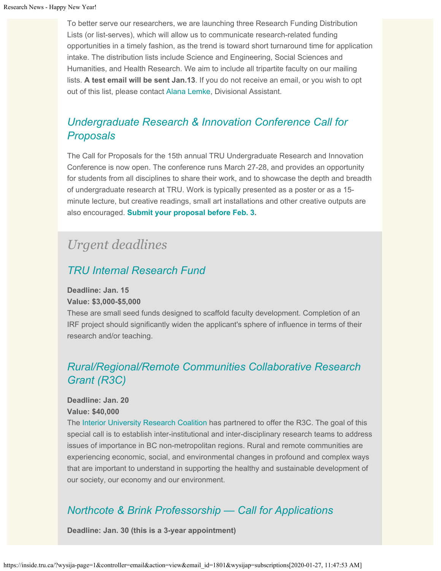To better serve our researchers, we are launching three Research Funding Distribution Lists (or list-serves), which will allow us to communicate research-related funding opportunities in a timely fashion, as the trend is toward short turnaround time for application intake. The distribution lists include Science and Engineering, Social Sciences and Humanities, and Health Research. We aim to include all tripartite faculty on our mailing lists. **A test email will be sent Jan.13**. If you do not receive an email, or you wish to opt out of this list, please contact [Alana Lemke](mailto:Alemke@tru.ca), Divisional Assistant.

# *[Undergraduate Research & Innovation Conference Call for](https://digitalcommons.library.tru.ca/urc/) [Proposals](https://digitalcommons.library.tru.ca/urc/)*

The Call for Proposals for the 15th annual TRU Undergraduate Research and Innovation Conference is now open. The conference runs March 27-28, and provides an opportunity for students from all disciplines to share their work, and to showcase the depth and breadth of undergraduate research at TRU. Work is typically presented as a poster or as a 15 minute lecture, but creative readings, small art installations and other creative outputs are also encouraged. **[Submit your proposal before Feb. 3](https://digitalcommons.library.tru.ca/urc/).**

# *Urgent deadlines*

## *[TRU Internal Research Fund](https://www.tru.ca/research/research-services/research-services-faculty/faculty-research-funding/internal-opportunities.html)*

#### **Deadline: Jan. 15**

**Value: \$3,000-\$5,000**

These are small seed funds designed to scaffold faculty development. Completion of an IRF project should significantly widen the applicant's sphere of influence in terms of their research and/or teaching.

# *[Rural/Regional/Remote Communities Collaborative Research](https://www.iurc.ca/__shared/assets/R3C_Grant47406.pdf) [Grant \(R3C\)](https://www.iurc.ca/__shared/assets/R3C_Grant47406.pdf)*

#### **Deadline: Jan. 20 Value: \$40,000**

The [Interior University Research Coalition](https://www.iurc.ca/home.html) has partnered to offer the R3C. The goal of this special call is to establish inter-institutional and inter-disciplinary research teams to address issues of importance in BC non-metropolitan regions. Rural and remote communities are experiencing economic, social, and environmental changes in profound and complex ways that are important to understand in supporting the healthy and sustainable development of our society, our economy and our environment.

## *[Northcote & Brink Professorship — Call for Applications](https://www.tru.ca/research/research-services/research-services-faculty/faculty-research-funding/internal-opportunities.html)*

**Deadline: Jan. 30 (this is a 3-year appointment)**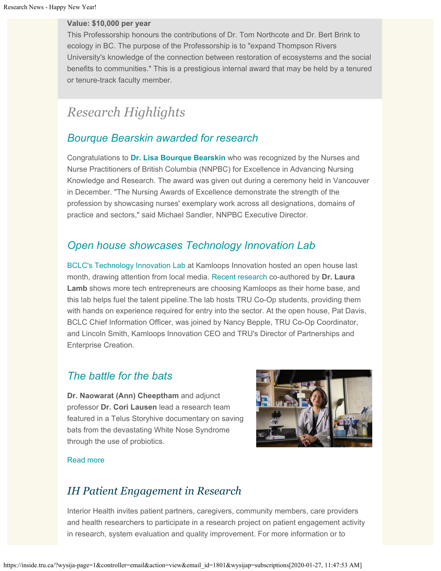#### **Value: \$10,000 per year**

This Professorship honours the contributions of Dr. Tom Northcote and Dr. Bert Brink to ecology in BC. The purpose of the Professorship is to "expand Thompson Rivers University's knowledge of the connection between restoration of ecosystems and the social benefits to communities." This is a prestigious internal award that may be held by a tenured or tenure-track faculty member.

# *Research Highlights*

### *[Bourque Bearskin awarded for research](https://www.nnpbc.com/pdfs/media/press-releases/PR-NNPBC-2019-Awards.pdf)*

Congratulations to **[Dr. Lisa Bourque Bearskin](https://inside.tru.ca/find-an-expert/?id=bourquebearskinlisa)** who was recognized by the Nurses and Nurse Practitioners of British Columbia (NNPBC) for Excellence in Advancing Nursing Knowledge and Research. The award was given out during a ceremony held in Vancouver in December. "The Nursing Awards of Excellence demonstrate the strength of the profession by showcasing nurses' exemplary work across all designations, domains of practice and sectors," said Michael Sandler, NNPBC Executive Director.

### *[Open house showcases Technology Innovation Lab](https://cfjctoday.com/2019/12/13/as-kamloops-tech-sector-grows-tru-students-help-develop-apps-for-bclc/)*

[BCLC's Technology Innovation Lab](https://corporate.bclc.com/media-centre/bclc-news/news-search/news-management/bclc_s-technology-innovation-lab-helps-fuel-demand-for-talent-in.html) at Kamloops Innovation hosted an open house last month, drawing attention from local media. [Recent research](https://inside.tru.ca/2019/10/24/research-pinpoints-why-tech-firms-choose-kamloops/) co-authored by **Dr. Laura Lamb** shows more tech entrepreneurs are choosing Kamloops as their home base, and this lab helps fuel the talent pipeline.The lab hosts TRU Co-Op students, providing them with hands on experience required for entry into the sector. At the open house, Pat Davis, BCLC Chief Information Officer, was joined by Nancy Bepple, TRU Co-Op Coordinator, and Lincoln Smith, Kamloops Innovation CEO and TRU's Director of Partnerships and Enterprise Creation.

### *[The battle for the bats](http://inside.tru.ca/2019/12/17/the-battle-for-the-bats/)*

**Dr. Naowarat (Ann) Cheeptham** and adjunct professor **Dr. Cori Lausen** lead a research team featured in a Telus Storyhive documentary on saving bats from the devastating White Nose Syndrome through the use of probiotics.



#### [Read more](http://inside.tru.ca/2019/12/17/the-battle-for-the-bats/)

## *IH Patient Engagement in Research*

Interior Health invites patient partners, caregivers, community members, care providers and health researchers to participate in a research project on patient engagement activity in research, system evaluation and quality improvement. For more information or to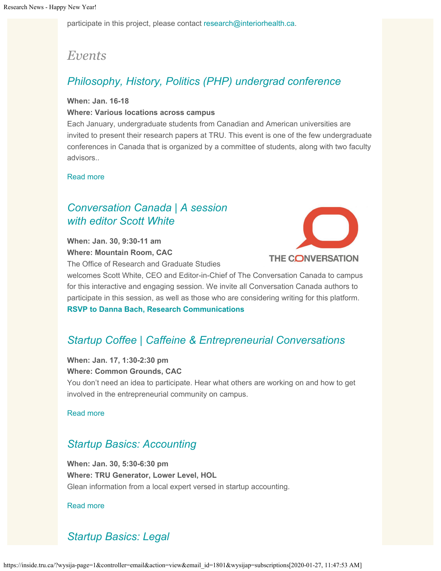participate in this project, please contact [research@interiorhealth.ca](mailto:research@interiorhealth.ca).

# *Events*

## *[Philosophy, History, Politics \(PHP\) undergrad conference](http://inside.tru.ca/events/event/philosophy-history-politics-undergrad-conference/)*

#### **When: Jan. 16-18**

#### **Where: Various locations across campus**

Each January, undergraduate students from Canadian and American universities are invited to present their research papers at TRU. This event is one of the few undergraduate conferences in Canada that is organized by a committee of students, along with two faculty advisors..

[Read more](http://inside.tru.ca/events/event/philosophy-history-politics-undergrad-conference/)

# *[Conversation Canada | A session](http://inside.tru.ca/events/event/conversation-canada-a-session-with-editor-scott-white/) [with editor Scott White](http://inside.tru.ca/events/event/conversation-canada-a-session-with-editor-scott-white/)*

**When: Jan. 30, 9:30-11 am Where: Mountain Room, CAC**

The Office of Research and Graduate Studies



welcomes Scott White, CEO and Editor-in-Chief of The Conversation Canada to campus for this interactive and engaging session. We invite all Conversation Canada authors to participate in this session, as well as those who are considering writing for this platform. **[RSVP to Danna Bach, Research Communications](mailto:dbach@tru.ca)**

# *[Startup Coffee | Caffeine & Entrepreneurial Conversations](http://inside.tru.ca/events/event/tru-generator-startup-coffee-caffeine-entrepreneurial-conversations/)*

# **When: Jan. 17, 1:30-2:30 pm**

**Where: Common Grounds, CAC**

You don't need an idea to participate. Hear what others are working on and how to get involved in the entrepreneurial community on campus.

[Read more](http://inside.tru.ca/events/event/tru-generator-startup-coffee-caffeine-entrepreneurial-conversations/)

## *[Startup Basics: Accounting](http://inside.tru.ca/events/event/tru-generator-startup-basics-accounting/)*

**When: Jan. 30, 5:30-6:30 pm Where: TRU Generator, Lower Level, HOL** Glean information from a local expert versed in startup accounting.

[Read more](http://inside.tru.ca/events/event/tru-generator-startup-basics-accounting/)

# *[Startup Basics: Legal](http://inside.tru.ca/events/event/tru-generator-startup-basics-legal/)*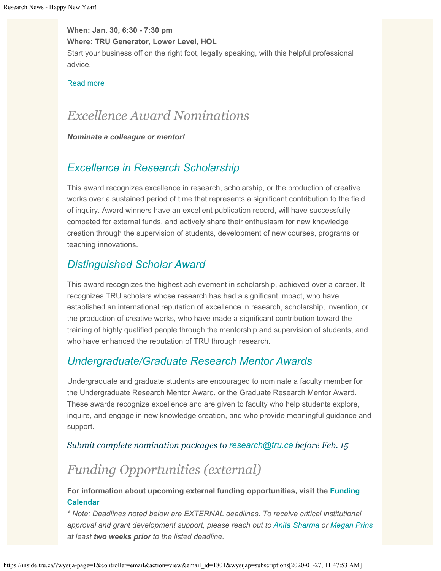**When: Jan. 30, 6:30 - 7:30 pm Where: TRU Generator, Lower Level, HOL** Start your business off on the right foot, legally speaking, with this helpful professional advice.

#### [Read more](http://inside.tru.ca/events/event/tru-generator-startup-basics-legal/)

# *Excellence Award Nominations*

*Nominate a colleague or mentor!*

### *[Excellence in Research Scholarship](https://www.tru.ca/research/research-services/research-services-faculty/research-awards.html)*

This award recognizes excellence in research, scholarship, or the production of creative works over a sustained period of time that represents a significant contribution to the field of inquiry. Award winners have an excellent publication record, will have successfully competed for external funds, and actively share their enthusiasm for new knowledge creation through the supervision of students, development of new courses, programs or teaching innovations.

### *[Distinguished Scholar Award](https://www.tru.ca/research/research-services/research-services-faculty/research-awards.html)*

This award recognizes the highest achievement in scholarship, achieved over a career. It recognizes TRU scholars whose research has had a significant impact, who have established an international reputation of excellence in research, scholarship, invention, or the production of creative works, who have made a significant contribution toward the training of highly qualified people through the mentorship and supervision of students, and who have enhanced the reputation of TRU through research.

### *[Undergraduate/Graduate Research Mentor Awards](https://www.tru.ca/research/research-services/research-services-faculty/research-awards.html)*

Undergraduate and graduate students are encouraged to nominate a faculty member for the Undergraduate Research Mentor Award, or the Graduate Research Mentor Award. These awards recognize excellence and are given to faculty who help students explore, inquire, and engage in new knowledge creation, and who provide meaningful guidance and support.

#### *Submit complete nomination packages to [research@tru.ca](mailto:research@tru.ca) before Feb. 15*

# *Funding Opportunities (external)*

**For information about upcoming external funding opportunities, visit the [Funding](http://www.tru.ca/research/services_faculty/funding_opportunities/deadlines/) [Calendar](http://www.tru.ca/research/services_faculty/funding_opportunities/deadlines/)**

*\* Note: Deadlines noted below are EXTERNAL deadlines. To receive critical institutional approval and grant development support, please reach out to [Anita Sharma](mailto:ansharma@tru.ca) or [Megan Prins](mailto:mprins@tru.ca) at least two weeks prior to the listed deadline.*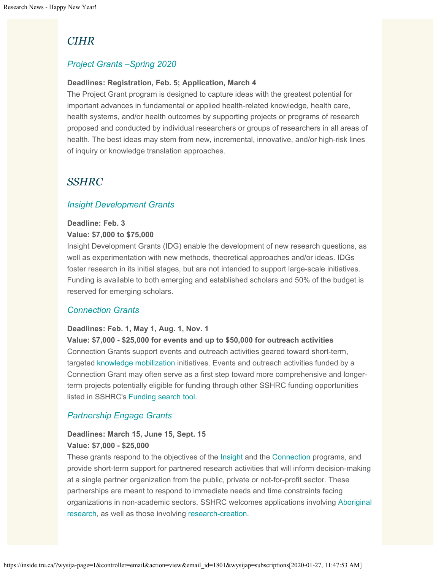## *CIHR*

### *[Project Grants –Spring 2020](https://www.researchnet-recherchenet.ca/rnr16/vwOpprtntyDtls.do?prog=3117&view=currentOpps&type=EXACT&resultCount=25&sort=program&next=1&all=1&masterList=true)*

#### **Deadlines: Registration, Feb. 5; Application, March 4**

The Project Grant program is designed to capture ideas with the greatest potential for important advances in fundamental or applied health-related knowledge, health care, health systems, and/or health outcomes by supporting projects or programs of research proposed and conducted by individual researchers or groups of researchers in all areas of health. The best ideas may stem from new, incremental, innovative, and/or high-risk lines of inquiry or knowledge translation approaches.

### *SSHRC*

### *[Insight Development Grants](http://www.sshrc-crsh.gc.ca/funding-financement/programs-programmes/insight_development_grants-subventions_de_developpement_savoir-eng.aspx)*

#### **Deadline: Feb. 3**

#### **Value: \$7,000 to \$75,000**

Insight Development Grants (IDG) enable the development of new research questions, as well as experimentation with new methods, theoretical approaches and/or ideas. IDGs foster research in its initial stages, but are not intended to support large-scale initiatives. Funding is available to both emerging and established scholars and 50% of the budget is reserved for emerging scholars.

#### *[Connection Grants](http://www.sshrc-crsh.gc.ca/funding-financement/programs-programmes/connection_grants-subventions_connexion-eng.aspx)*

#### **Deadlines: Feb. 1, May 1, Aug. 1, Nov. 1**

**Value: \$7,000 - \$25,000 for events and up to \$50,000 for outreach activities** Connection Grants support events and outreach activities geared toward short-term, targeted [knowledge mobilization](http://www.sshrc-crsh.gc.ca/funding-financement/programs-programmes/definitions-eng.aspx#km-mc) initiatives. Events and outreach activities funded by a Connection Grant may often serve as a first step toward more comprehensive and longerterm projects potentially eligible for funding through other SSHRC funding opportunities listed in SSHRC's [Funding search tool](http://www.sshrc-crsh.gc.ca/funding-financement/index-eng.aspx).

### *[Partnership Engage Grants](http://www.sshrc-crsh.gc.ca/funding-financement/programs-programmes/partnership_engage_grants-subventions_d_engagement_partenarial-eng.aspx)*

### **Deadlines: March 15, June 15, Sept. 15 Value: \$7,000 - \$25,000**

These grants respond to the objectives of the [Insight](http://www.sshrc-crsh.gc.ca/funding-financement/umbrella_programs-programme_cadre/insight-savoir-eng.aspx) and the [Connection](http://www.sshrc-crsh.gc.ca/funding-financement/umbrella_programs-programme_cadre/connection-connexion-eng.aspx) programs, and provide short-term support for partnered research activities that will inform decision-making at a single partner organization from the public, private or not-for-profit sector. These partnerships are meant to respond to immediate needs and time constraints facing organizations in non-academic sectors. SSHRC welcomes applications involving [Aboriginal](http://www.sshrc-crsh.gc.ca/funding-financement/programs-programmes/definitions-eng.aspx#a0) [research](http://www.sshrc-crsh.gc.ca/funding-financement/programs-programmes/definitions-eng.aspx#a0), as well as those involving [research-creation](http://www.sshrc-crsh.gc.ca/funding-financement/programs-programmes/definitions-eng.aspx#a22).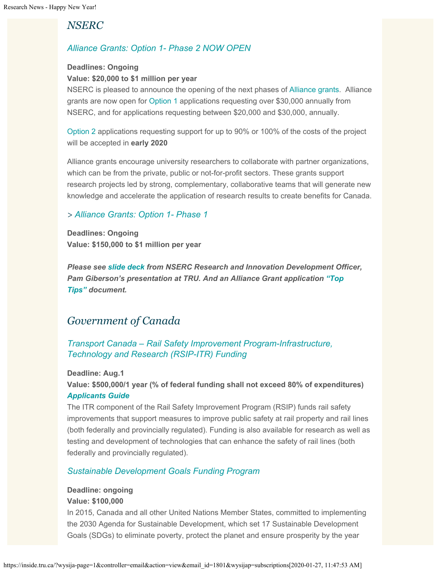## *NSERC*

### *[Alliance Grants: Option 1- Phase 2 NOW OPEN](http://www.nserc-crsng.gc.ca/Innovate-Innover/alliance-alliance/index_eng.asp)*

#### **Deadlines: Ongoing**

#### **Value: \$20,000 to \$1 million per year**

NSERC is pleased to announce the opening of the next phases of [Alliance grants](http://r20.rs6.net/tn.jsp?f=001Nh4U_HO9nZcDZUwQ0Ja1PVlgavA7P5KrtVVktWkT6qD7NxycTeYSSSASYh5xfBf-2iqPq-RQpf__-d-HZVIhYmyPON66_OKF_rafc3HTGeM7jtvWjlwPVSXwfFzUdpKKQqYxyYaOYPnAwCygQvdBpm3ZmMTE6IGNKCGYtSY0UgH2PAswR9fhf_YRQJHtdBONfBdFXZpc71tq-wZboy0dxwzMHE_YJyCD&c=jTpPAwM9aqFHpRzFvhxgop9o-80mLHafD9V0xYJ9AcdY_O4X-CcotQ==&ch=qXagiRY_nz2JyVBFdrlSF-Ywn96ZaDfVoVFeR_sy_3QqO2MXTOFOGA==). Alliance grants are now open for [Option 1](http://r20.rs6.net/tn.jsp?f=001Nh4U_HO9nZcDZUwQ0Ja1PVlgavA7P5KrtVVktWkT6qD7NxycTeYSSYhEYRzxdIUcJlzNmV7UyofWWBqKpxObysHmQ0KvA51s86LAoHYZWj6L3PZnkn8bio-W8fGeEGsB4lgcXnsWFiZGe1AZTR1XOkDC_6GoqRZdE4XqLKp6jn9B0Ou8v5qWz5OxOZw7Rk2HCfFUiTsmncwF8SyIcNp7udDtOzYl2Np422f_cOUP62Sz8Rvgi1jdbCSZQl-kvE1i&c=jTpPAwM9aqFHpRzFvhxgop9o-80mLHafD9V0xYJ9AcdY_O4X-CcotQ==&ch=qXagiRY_nz2JyVBFdrlSF-Ywn96ZaDfVoVFeR_sy_3QqO2MXTOFOGA==) applications requesting over \$30,000 annually from NSERC, and for applications requesting between \$20,000 and \$30,000, annually.

[Option 2](http://r20.rs6.net/tn.jsp?f=001Nh4U_HO9nZcDZUwQ0Ja1PVlgavA7P5KrtVVktWkT6qD7NxycTeYSSYhEYRzxdIUcBUAB6jQi8sUpCr1a9DmJkOb86dvh-Zf25iif6bkuljHT8AjzPerc9Ez8QuubvtZRjHz1KaytWfputn1tWIOgu6MH8tsS7oftijMJ5IYPMqgf_UpAjaF514Z3mY79TTxeoFmFByRtQvPjFHUuAPWjIea4AukBoFeEu0qYkAiXQ3Q8Y_STONZVwxIy4rx4jPNR&c=jTpPAwM9aqFHpRzFvhxgop9o-80mLHafD9V0xYJ9AcdY_O4X-CcotQ==&ch=qXagiRY_nz2JyVBFdrlSF-Ywn96ZaDfVoVFeR_sy_3QqO2MXTOFOGA==) applications requesting support for up to 90% or 100% of the costs of the project will be accepted in **early 2020**

Alliance grants encourage university researchers to collaborate with partner organizations, which can be from the private, public or not-for-profit sectors. These grants support research projects led by strong, complementary, collaborative teams that will generate new knowledge and accelerate the application of research results to create benefits for Canada.

### *> [Alliance Grants: Option 1- Phase 1](http://www.nserc-crsng.gc.ca/Innovate-Innover/alliance-alliance/index_eng.asp)*

**Deadlines: Ongoing Value: \$150,000 to \$1 million per year**

*Please see [slide deck](https://one.tru.ca/sites/rgs/ToolsandResources/_layouts/15/WopiFrame.aspx?sourcedoc=/sites/rgs/ToolsandResources/Shared%20Documents/NSERC_ALLIANCE.pptx&action=default) from NSERC Research and Innovation Development Officer, Pam Giberson's presentation at TRU. And an Alliance Grant application ["Top](https://one.tru.ca/sites/rgs/ToolsandResources/_layouts/15/WopiFrame.aspx?sourcedoc=/sites/rgs/ToolsandResources/Shared%20Documents/Alliance%20Grant%20-%20Top%20Tips%20EN%20%20FR.pdf&action=default) [Tips"](https://one.tru.ca/sites/rgs/ToolsandResources/_layouts/15/WopiFrame.aspx?sourcedoc=/sites/rgs/ToolsandResources/Shared%20Documents/Alliance%20Grant%20-%20Top%20Tips%20EN%20%20FR.pdf&action=default) document.*

## *Government of Canada*

### *[Transport Canada – Rail Safety Improvement Program-Infrastructure,](https://www.tc.gc.ca/en/services/rail/apply-rsip-itr-funding.html) [Technology and Research \(RSIP-ITR\) Funding](https://www.tc.gc.ca/en/services/rail/apply-rsip-itr-funding.html)*

**Deadline: Aug.1**

**Value: \$500,000/1 year (% of federal funding shall not exceed 80% of expenditures)** *[Applicants Guide](https://www.tc.gc.ca/en/services/rail/apply-rsip-itr-funding/rsip-itr-applicants-guide.html)*

The ITR component of the Rail Safety Improvement Program (RSIP) funds rail safety improvements that support measures to improve public safety at rail property and rail lines (both federally and provincially regulated). Funding is also available for research as well as testing and development of technologies that can enhance the safety of rail lines (both federally and provincially regulated).

### *[Sustainable Development Goals Funding Program](https://www.canada.ca/en/employment-social-development/services/funding/sustainable-development-goals.html?utm_source=Alliance+mailing+list&utm_campaign=3b8335f44f-EMAIL_CAMPAIGN_2019_05_09_02_30_COPY_01&utm_medium=email&utm_term=0_d8c079edf8-3b8335f44f-132838517&mc_cid=3b8335f44f&mc_eid=3317a57706)*

#### **Deadline: ongoing**

#### **Value: \$100,000**

In 2015, Canada and all other United Nations Member States, committed to implementing the 2030 Agenda for Sustainable Development, which set 17 Sustainable Development Goals (SDGs) to eliminate poverty, protect the planet and ensure prosperity by the year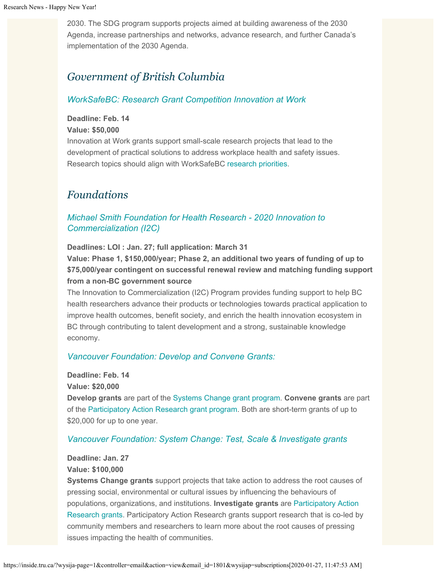2030. The SDG program supports projects aimed at building awareness of the 2030 Agenda, increase partnerships and networks, advance research, and further Canada's implementation of the 2030 Agenda.

## *Government of British Columbia*

### *[WorkSafeBC: Research Grant Competition Innovation at Work](https://www.worksafebc.com/en/about-us/research-services/funding-streams/innovation-at-work?utm_campaign=grant-awards&utm_source=e-news&utm_medium=email&utm_content=iaw-policy)*

#### **Deadline: Feb. 14**

#### **Value: \$50,000**

Innovation at Work grants support small-scale research projects that lead to the development of practical solutions to address workplace health and safety issues. Research topics should align with WorkSafeBC [research priorities](http://trk.cp20.com/click/4bf-1jpr7b-lfqnxr-4t9kk3h6/).

### *Foundations*

### *[Michael Smith Foundation for Health Research - 2020 Innovation to](https://www.msfhr.org/2020-innovation-commercialization-competition) [Commercialization \(I2C\)](https://www.msfhr.org/2020-innovation-commercialization-competition)*

**Deadlines: LOI : Jan. 27; full application: March 31**

**Value: Phase 1, \$150,000/year; Phase 2, an additional two years of funding of up to \$75,000/year contingent on successful renewal review and matching funding support from a non-BC government source**

The Innovation to Commercialization (I2C) Program provides funding support to help BC health researchers advance their products or technologies towards practical application to improve health outcomes, benefit society, and enrich the health innovation ecosystem in BC through contributing to talent development and a strong, sustainable knowledge economy.

#### *[Vancouver Foundation: Develop and Convene Grants:](https://www.vancouverfoundation.ca/grants/systems-change-grants)*

#### **Deadline: Feb. 14**

#### **Value: \$20,000**

**Develop grants** are part of the [Systems Change grant program](https://www.vancouverfoundation.ca/grants/systems-change-grants). **Convene grants** are part of the [Participatory Action Research grant program](https://www.vancouverfoundation.ca/grants/participatory-action-research-grants). Both are short-term grants of up to \$20,000 for up to one year.

#### *[Vancouver Foundation: System Change: Test, Scale & Investigate grants](https://www.vancouverfoundation.ca/grants)*

#### **Deadline: Jan. 27 Value: \$100,000**

**Systems Change grants** support projects that take action to address the root causes of pressing social, environmental or cultural issues by influencing the behaviours of populations, organizations, and institutions. **Investigate grants** are [Participatory Action](https://www.vancouverfoundation.ca/grants/participatory-action-research-grants) [Research grants](https://www.vancouverfoundation.ca/grants/participatory-action-research-grants). Participatory Action Research grants support research that is co-led by community members and researchers to learn more about the root causes of pressing issues impacting the health of communities.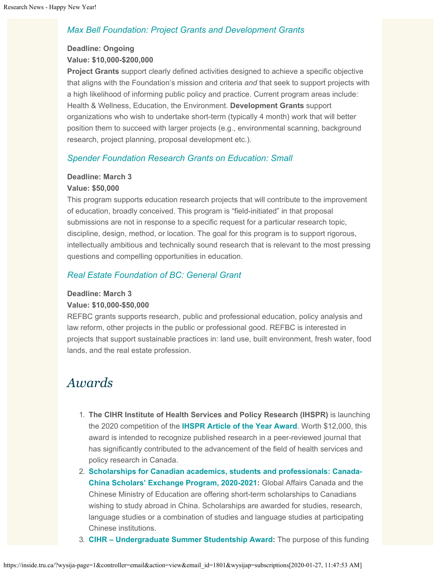### *[Max Bell Foundation: Project Grants and Development Grants](https://maxbell.org/our-work/granting/types-programs/)*

### **Deadline: Ongoing Value: \$10,000-\$200,000**

**Project Grants** support clearly defined activities designed to achieve a specific objective that aligns with the Foundation's mission and criteria *and* that seek to support projects with a high likelihood of informing public policy and practice. Current program areas include: Health & Wellness, Education, the Environment. **Development Grants** support organizations who wish to undertake short-term (typically 4 month) work that will better position them to succeed with larger projects (e.g., environmental scanning, background research, project planning, proposal development etc.).

### *[Spender Foundation Research Grants on Education: Small](https://www.spencer.org/grant_types/small-research-grant)*

#### **Deadline: March 3**

#### **Value: \$50,000**

This program supports education research projects that will contribute to the improvement of education, broadly conceived. This program is "field-initiated" in that proposal submissions are not in response to a specific request for a particular research topic, discipline, design, method, or location. The goal for this program is to support rigorous, intellectually ambitious and technically sound research that is relevant to the most pressing questions and compelling opportunities in education.

### *[Real Estate Foundation of BC: General Grant](https://www.refbc.com/grants)*

#### **Deadline: March 3**

#### **Value: \$10,000-\$50,000**

REFBC grants supports research, public and professional education, policy analysis and law reform, other projects in the public or professional good. REFBC is interested in projects that support sustainable practices in: land use, built environment, fresh water, food lands, and the real estate profession.

# *Awards*

- 1. **The CIHR Institute of Health Services and Policy Research (IHSPR)** is launching the 2020 competition of the **[IHSPR Article of the Year Award](https://www.researchnet-recherchenet.ca/rnr16/vwOpprtntyDtls.do?prog=3180&view=currentOpps&type=EXACT&resultCount=25&sort=program&next=1&all=1&masterList=true)**. Worth \$12,000, this award is intended to recognize published research in a peer-reviewed journal that has significantly contributed to the advancement of the field of health services and policy research in Canada.
- 2. **[Scholarships for Canadian academics, students and professionals: Canada-](https://www.educanada.ca/scholarships-bourses/can/ccsep-peucc.aspx?lang=eng&utm_source=cbie&utm_medium=email&utm_term=&utm_content=&utm_campaign=ccsep_outbound_12_19_01_20_en)[China Scholars' Exchange Program, 2020-2021](https://www.educanada.ca/scholarships-bourses/can/ccsep-peucc.aspx?lang=eng&utm_source=cbie&utm_medium=email&utm_term=&utm_content=&utm_campaign=ccsep_outbound_12_19_01_20_en):** Global Affairs Canada and the Chinese Ministry of Education are offering short-term scholarships to Canadians wishing to study abroad in China. Scholarships are awarded for studies, research, language studies or a combination of studies and language studies at participating Chinese institutions.
- 3. **[CIHR Undergraduate Summer Studentship Award](https://www.researchnet-recherchenet.ca/rnr16/vwOpprtntyDtls.do?prog=3197&view=currentOpps&org=CIHR&type=EXACT&resultCount=25&sort=program&next=1&all=1&masterList=true):** The purpose of this funding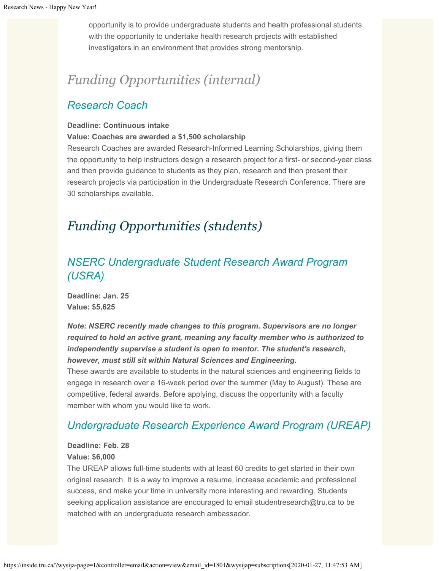opportunity is to provide undergraduate students and health professional students with the opportunity to undertake health research projects with established investigators in an environment that provides strong mentorship.

# *Funding Opportunities (internal)*

### *[Research Coach](https://www.tru.ca/research/research-services/research-services-faculty/faculty-research-funding/internal-opportunities.html)*

#### **Deadline: Continuous intake**

#### **Value: Coaches are awarded a \$1,500 scholarship**

Research Coaches are awarded Research-Informed Learning Scholarships, giving them the opportunity to help instructors design a research project for a first- or second-year class and then provide guidance to students as they plan, research and then present their research projects via participation in the Undergraduate Research Conference. There are 30 scholarships available.

# *Funding Opportunities (students)*

# *[NSERC Undergraduate Student Research Award Program](https://www.tru.ca/research/undergraduate-research/undergraduate-research-opportunities.html) [\(USRA\)](https://www.tru.ca/research/undergraduate-research/undergraduate-research-opportunities.html)*

**Deadline: Jan. 25 Value: \$5,625**

*Note: NSERC recently made changes to this program. Supervisors are no longer required to hold an active grant, meaning any faculty member who is authorized to independently supervise a student is open to mentor. The student's research, however, must still sit within Natural Sciences and Engineering.*

These awards are available to students in the natural sciences and engineering fields to engage in research over a 16-week period over the summer (May to August). These are competitive, federal awards. Before applying, discuss the opportunity with a faculty member with whom you would like to work.

### *[Undergraduate Research Experience Award Program \(UREAP\)](https://www.tru.ca/research/undergraduate-research/undergraduate-research-opportunities/ureap-award.html)*

#### **Deadline: Feb. 28 Value: \$6,000**

### The UREAP allows full-time students with at least 60 credits to get started in their own original research. It is a way to improve a resume, increase academic and professional success, and make your time in university more interesting and rewarding. Students seeking application assistance are encouraged to email studentresearch@tru.ca to be matched with an undergraduate research ambassador.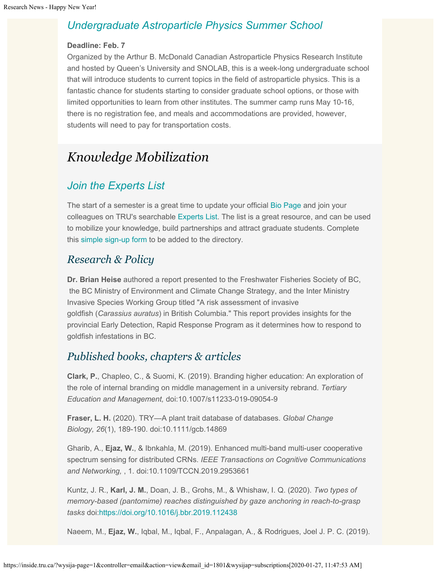### *[Undergraduate Astroparticle Physics Summer School](https://mcdonaldinstitute.ca/capss/capss-how-to-apply/)*

#### **Deadline: Feb. 7**

Organized by the Arthur B. McDonald Canadian Astroparticle Physics Research Institute and hosted by Queen's University and SNOLAB, this is a week-long undergraduate school that will introduce students to current topics in the field of astroparticle physics. This is a fantastic chance for students starting to consider graduate school options, or those with limited opportunities to learn from other institutes. The summer camp runs May 10-16, there is no registration fee, and meals and accommodations are provided, however, students will need to pay for transportation costs.

# *Knowledge Mobilization*

## *[Join the Experts List](https://inside.tru.ca/find-an-expert/experts-registration-update/)*

The start of a semester is a great time to update your official [Bio Page](https://kamino.tru.ca/experts/faculty/main/signin.html) and join your colleagues on TRU's searchable [Experts List.](https://inside.tru.ca/find-an-expert/experts-registration-update/) The list is a great resource, and can be used to mobilize your knowledge, build partnerships and attract graduate students. Complete this simple [sign-up form](https://inside.tru.ca/find-an-expert/experts-registration-update/) to be added to the directory.

### *Research & Policy*

**Dr. Brian Heise** authored a report presented to the Freshwater Fisheries Society of BC, the BC Ministry of Environment and Climate Change Strategy, and the Inter Ministry Invasive Species Working Group titled "A risk assessment of invasive goldfish (*Carassius auratus*) in British Columbia." This report provides insights for the provincial Early Detection, Rapid Response Program as it determines how to respond to goldfish infestations in BC.

### *Published books, chapters & articles*

**Clark, P.**, Chapleo, C., & Suomi, K. (2019). Branding higher education: An exploration of the role of internal branding on middle management in a university rebrand. *Tertiary Education and Management,* doi:10.1007/s11233-019-09054-9

**Fraser, L. H.** (2020). TRY—A plant trait database of databases. *Global Change Biology, 26*(1), 189-190. doi:10.1111/gcb.14869

Gharib, A., **Ejaz, W.**, & Ibnkahla, M. (2019). Enhanced multi-band multi-user cooperative spectrum sensing for distributed CRNs. *IEEE Transactions on Cognitive Communications and Networking,* , 1. doi:10.1109/TCCN.2019.2953661

Kuntz, J. R., **Karl, J. M.**, Doan, J. B., Grohs, M., & Whishaw, I. Q. (2020). *Two types of memory-based (pantomime) reaches distinguished by gaze anchoring in reach-to-grasp tasks* doi:<https://doi.org/10.1016/j.bbr.2019.112438>

Naeem, M., **Ejaz, W.**, Iqbal, M., Iqbal, F., Anpalagan, A., & Rodrigues, Joel J. P. C. (2019).